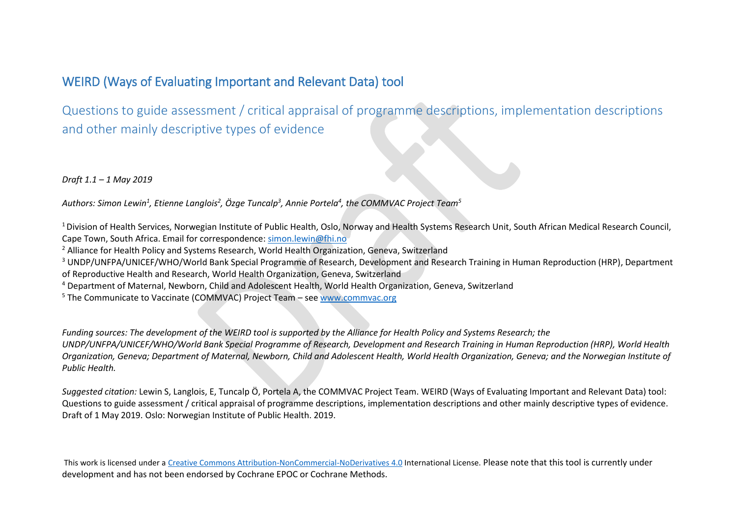# WEIRD (Ways of Evaluating Important and Relevant Data) tool

Questions to guide assessment / critical appraisal of programme descriptions, implementation descriptions and other mainly descriptive types of evidence

*Draft 1.1 – 1 May 2019*

Authors: Simon Lewin<sup>1</sup>, Etienne Langlois<sup>2</sup>, Özge Tuncalp<sup>3</sup>, Annie Portela<sup>4</sup>, the COMMVAC Project Team<sup>5</sup>

<sup>1</sup> Division of Health Services, Norwegian Institute of Public Health, Oslo, Norway and Health Systems Research Unit, South African Medical Research Council, Cape Town, South Africa. Email for correspondence: [simon.lewin@fhi.no](mailto:simon.lewin@fhi.no)

<sup>2</sup> Alliance for Health Policy and Systems Research, World Health Organization, Geneva, Switzerland

<sup>3</sup> UNDP/UNFPA/UNICEF/WHO/World Bank Special Programme of Research, Development and Research Training in Human Reproduction (HRP), Department

of Reproductive Health and Research, World Health Organization, Geneva, Switzerland

<sup>4</sup> Department of Maternal, Newborn, Child and Adolescent Health, World Health Organization, Geneva, Switzerland

<sup>5</sup> The Communicate to Vaccinate (COMMVAC) Project Team – see [www.commvac.org](http://www.commvac.org/)

*Funding sources: The development of the WEIRD tool is supported by the Alliance for Health Policy and Systems Research; the UNDP/UNFPA/UNICEF/WHO/World Bank Special Programme of Research, Development and Research Training in Human Reproduction (HRP), World Health Organization, Geneva; Department of Maternal, Newborn, Child and Adolescent Health, World Health Organization, Geneva; and the Norwegian Institute of Public Health.*

*Suggested citation:* Lewin S, Langlois, E, Tuncalp Ö, Portela A, the COMMVAC Project Team. WEIRD (Ways of Evaluating Important and Relevant Data) tool: Questions to guide assessment / critical appraisal of programme descriptions, implementation descriptions and other mainly descriptive types of evidence. Draft of 1 May 2019. Oslo: Norwegian Institute of Public Health. 2019.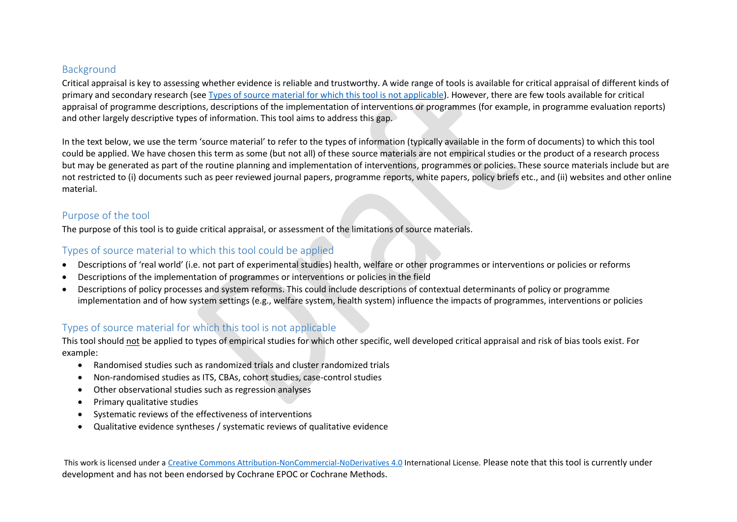#### Background

Critical appraisal is key to assessing whether evidence is reliable and trustworthy. A wide range of tools is available for critical appraisal of different kinds of primary and secondary research (see [Types of source material for which this tool is not applicable\)](#page-1-0). However, there are few tools available for critical appraisal of programme descriptions, descriptions of the implementation of interventions or programmes (for example, in programme evaluation reports) and other largely descriptive types of information. This tool aims to address this gap.

In the text below, we use the term 'source material' to refer to the types of information (typically available in the form of documents) to which this tool could be applied. We have chosen this term as some (but not all) of these source materials are not empirical studies or the product of a research process but may be generated as part of the routine planning and implementation of interventions, programmes or policies. These source materials include but are not restricted to (i) documents such as peer reviewed journal papers, programme reports, white papers, policy briefs etc., and (ii) websites and other online material.

# Purpose of the tool

The purpose of this tool is to guide critical appraisal, or assessment of the limitations of source materials.

### <span id="page-1-1"></span>Types of source material to which this tool could be applied

- Descriptions of 'real world' (i.e. not part of experimental studies) health, welfare or other programmes or interventions or policies or reforms
- Descriptions of the implementation of programmes or interventions or policies in the field
- Descriptions of policy processes and system reforms. This could include descriptions of contextual determinants of policy or programme implementation and of how system settings (e.g., welfare system, health system) influence the impacts of programmes, interventions or policies

# <span id="page-1-0"></span>Types of source material for which this tool is not applicable

This tool should not be applied to types of empirical studies for which other specific, well developed critical appraisal and risk of bias tools exist. For example:

- Randomised studies such as randomized trials and cluster randomized trials
- Non-randomised studies as ITS, CBAs, cohort studies, case-control studies
- Other observational studies such as regression analyses
- Primary qualitative studies
- Systematic reviews of the effectiveness of interventions
- Qualitative evidence syntheses / systematic reviews of qualitative evidence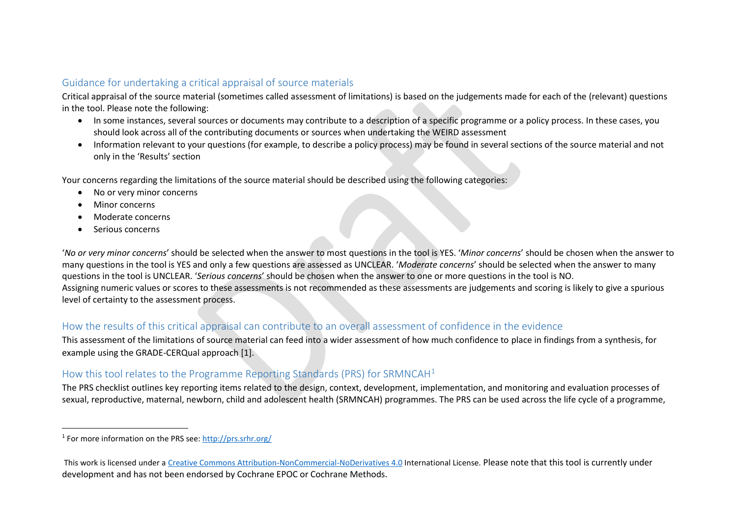# Guidance for undertaking a critical appraisal of source materials

Critical appraisal of the source material (sometimes called assessment of limitations) is based on the judgements made for each of the (relevant) questions in the tool. Please note the following:

- In some instances, several sources or documents may contribute to a description of a specific programme or a policy process. In these cases, you should look across all of the contributing documents or sources when undertaking the WEIRD assessment
- Information relevant to your questions (for example, to describe a policy process) may be found in several sections of the source material and not only in the 'Results' section

Your concerns regarding the limitations of the source material should be described using the following categories:

- No or very minor concerns
- Minor concerns
- Moderate concerns
- Serious concerns

 $\overline{a}$ 

'*No or very minor concerns*' should be selected when the answer to most questions in the tool is YES. '*Minor concerns*' should be chosen when the answer to many questions in the tool is YES and only a few questions are assessed as UNCLEAR. '*Moderate concerns*' should be selected when the answer to many questions in the tool is UNCLEAR. '*Serious concerns*' should be chosen when the answer to one or more questions in the tool is NO. Assigning numeric values or scores to these assessments is not recommended as these assessments are judgements and scoring is likely to give a spurious level of certainty to the assessment process.

#### How the results of this critical appraisal can contribute to an overall assessment of confidence in the evidence

This assessment of the limitations of source material can feed into a wider assessment of how much confidence to place in findings from a synthesis, for example using the GRADE-CERQual approach [1].

# How this tool relates to the Programme Reporting Standards (PRS) for SRMNCAH<sup>1</sup>

The PRS checklist outlines key reporting items related to the design, context, development, implementation, and monitoring and evaluation processes of sexual, reproductive, maternal, newborn, child and adolescent health (SRMNCAH) programmes. The PRS can be used across the life cycle of a programme,

<sup>&</sup>lt;sup>1</sup> For more information on the PRS see:<http://prs.srhr.org/>

This work is licensed under a [Creative Commons Attribution-NonCommercial-NoDerivatives 4.0](http://creativecommons.org/licenses/by-nc-nd/4.0/) International License. Please note that this tool is currently under development and has not been endorsed by Cochrane EPOC or Cochrane Methods.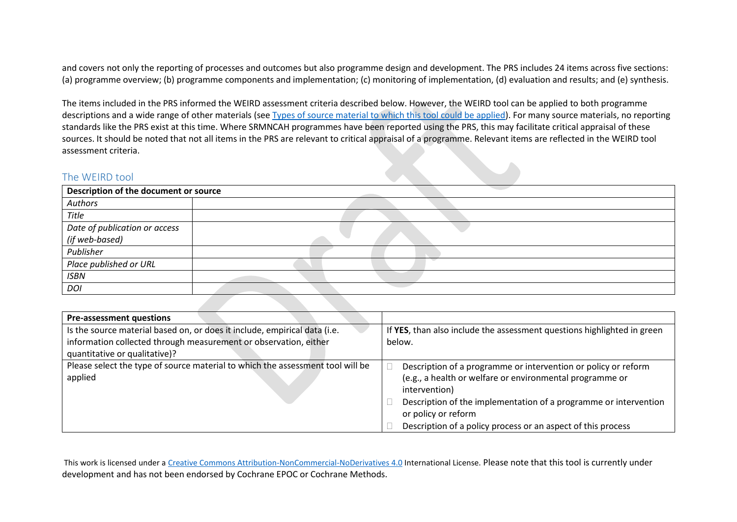and covers not only the reporting of processes and outcomes but also programme design and development. The PRS includes 24 items across five sections: (a) programme overview; (b) programme components and implementation; (c) monitoring of implementation, (d) evaluation and results; and (e) synthesis.

The items included in the PRS informed the WEIRD assessment criteria described below. However, the WEIRD tool can be applied to both programme descriptions and a wide range of other materials (see [Types of source material to which this tool could be applied\)](#page-1-1). For many source materials, no reporting standards like the PRS exist at this time. Where SRMNCAH programmes have been reported using the PRS, this may facilitate critical appraisal of these sources. It should be noted that not all items in the PRS are relevant to critical appraisal of a programme. Relevant items are reflected in the WEIRD tool assessment criteria.

#### The WEIRD tool

| Description of the document or source |  |
|---------------------------------------|--|
| Authors                               |  |
| Title                                 |  |
| Date of publication or access         |  |
| (if web-based)                        |  |
| Publisher                             |  |
| Place published or URL                |  |
| <b>ISBN</b>                           |  |
| <b>DOI</b>                            |  |

| <b>Pre-assessment questions</b>                                                |                                                                         |  |  |
|--------------------------------------------------------------------------------|-------------------------------------------------------------------------|--|--|
| Is the source material based on, or does it include, empirical data (i.e.      | If YES, than also include the assessment questions highlighted in green |  |  |
| information collected through measurement or observation, either               | below.                                                                  |  |  |
| quantitative or qualitative)?                                                  |                                                                         |  |  |
| Please select the type of source material to which the assessment tool will be | Description of a programme or intervention or policy or reform          |  |  |
| applied                                                                        | (e.g., a health or welfare or environmental programme or                |  |  |
|                                                                                | intervention)                                                           |  |  |
|                                                                                | Description of the implementation of a programme or intervention        |  |  |
|                                                                                | or policy or reform                                                     |  |  |
|                                                                                | Description of a policy process or an aspect of this process            |  |  |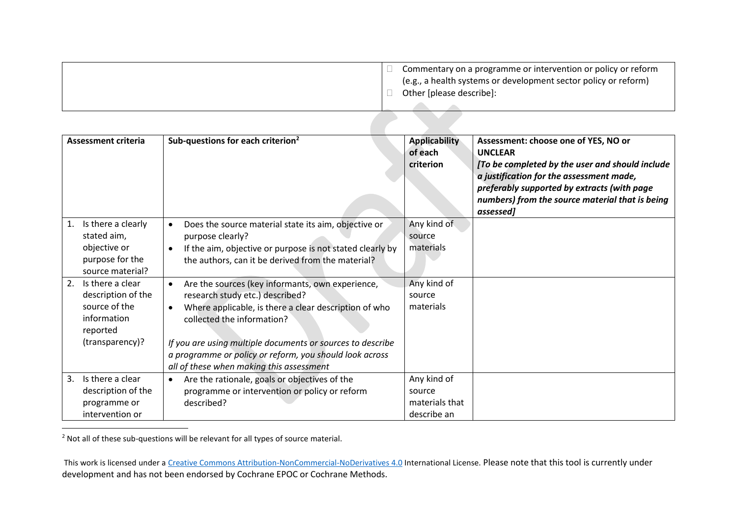| Commentary on a programme or intervention or policy or reform<br>(e.g., a health systems or development sector policy or reform)<br>Other [please describe]: |
|--------------------------------------------------------------------------------------------------------------------------------------------------------------|
|                                                                                                                                                              |

| <b>Assessment criteria</b>                                                                                  | Sub-questions for each criterion <sup>2</sup>                                                                                                                                                                                                                                                                                                                | <b>Applicability</b><br>of each<br>criterion           | Assessment: choose one of YES, NO or<br><b>UNCLEAR</b><br>[To be completed by the user and should include<br>a justification for the assessment made,<br>preferably supported by extracts (with page<br>numbers) from the source material that is being<br>assessed] |
|-------------------------------------------------------------------------------------------------------------|--------------------------------------------------------------------------------------------------------------------------------------------------------------------------------------------------------------------------------------------------------------------------------------------------------------------------------------------------------------|--------------------------------------------------------|----------------------------------------------------------------------------------------------------------------------------------------------------------------------------------------------------------------------------------------------------------------------|
| Is there a clearly<br>1.<br>stated aim,<br>objective or<br>purpose for the<br>source material?              | Does the source material state its aim, objective or<br>purpose clearly?<br>If the aim, objective or purpose is not stated clearly by<br>the authors, can it be derived from the material?                                                                                                                                                                   | Any kind of<br>source<br>materials                     |                                                                                                                                                                                                                                                                      |
| 2.<br>Is there a clear<br>description of the<br>source of the<br>information<br>reported<br>(transparency)? | Are the sources (key informants, own experience,<br>$\bullet$<br>research study etc.) described?<br>Where applicable, is there a clear description of who<br>collected the information?<br>If you are using multiple documents or sources to describe<br>a programme or policy or reform, you should look across<br>all of these when making this assessment | Any kind of<br>source<br>materials                     |                                                                                                                                                                                                                                                                      |
| Is there a clear<br>3.<br>description of the<br>programme or<br>intervention or                             | Are the rationale, goals or objectives of the<br>programme or intervention or policy or reform<br>described?                                                                                                                                                                                                                                                 | Any kind of<br>source<br>materials that<br>describe an |                                                                                                                                                                                                                                                                      |

 $<sup>2</sup>$  Not all of these sub-questions will be relevant for all types of source material.</sup>

 $\overline{a}$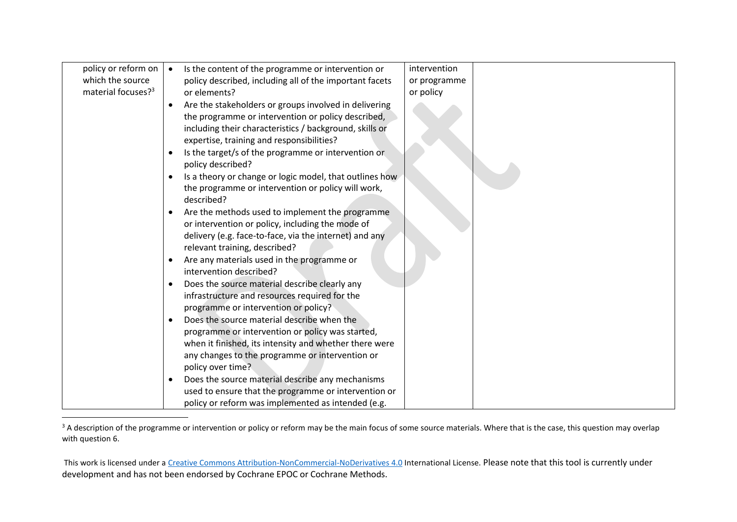| policy or reform on            | Is the content of the programme or intervention or                                                          | intervention |  |
|--------------------------------|-------------------------------------------------------------------------------------------------------------|--------------|--|
| which the source               | policy described, including all of the important facets                                                     | or programme |  |
| material focuses? <sup>3</sup> | or elements?                                                                                                | or policy    |  |
|                                | Are the stakeholders or groups involved in delivering<br>$\bullet$                                          |              |  |
|                                | the programme or intervention or policy described,                                                          |              |  |
|                                | including their characteristics / background, skills or                                                     |              |  |
|                                | expertise, training and responsibilities?                                                                   |              |  |
|                                | Is the target/s of the programme or intervention or                                                         |              |  |
|                                | policy described?                                                                                           |              |  |
|                                | Is a theory or change or logic model, that outlines how                                                     |              |  |
|                                | the programme or intervention or policy will work,                                                          |              |  |
|                                | described?                                                                                                  |              |  |
|                                | Are the methods used to implement the programme                                                             |              |  |
|                                | or intervention or policy, including the mode of                                                            |              |  |
|                                | delivery (e.g. face-to-face, via the internet) and any                                                      |              |  |
|                                | relevant training, described?                                                                               |              |  |
|                                | Are any materials used in the programme or<br>intervention described?                                       |              |  |
|                                |                                                                                                             |              |  |
|                                | Does the source material describe clearly any<br>$\bullet$<br>infrastructure and resources required for the |              |  |
|                                | programme or intervention or policy?                                                                        |              |  |
|                                | Does the source material describe when the                                                                  |              |  |
|                                | programme or intervention or policy was started,                                                            |              |  |
|                                | when it finished, its intensity and whether there were                                                      |              |  |
|                                | any changes to the programme or intervention or                                                             |              |  |
|                                | policy over time?                                                                                           |              |  |
|                                | Does the source material describe any mechanisms                                                            |              |  |
|                                | used to ensure that the programme or intervention or                                                        |              |  |
|                                | policy or reform was implemented as intended (e.g.                                                          |              |  |

<sup>&</sup>lt;sup>3</sup> A description of the programme or intervention or policy or reform may be the main focus of some source materials. Where that is the case, this question may overlap with question 6.

 $\overline{a}$ 

This work is licensed under a [Creative Commons Attribution-NonCommercial-NoDerivatives 4.0](http://creativecommons.org/licenses/by-nc-nd/4.0/) International License. Please note that this tool is currently under development and has not been endorsed by Cochrane EPOC or Cochrane Methods.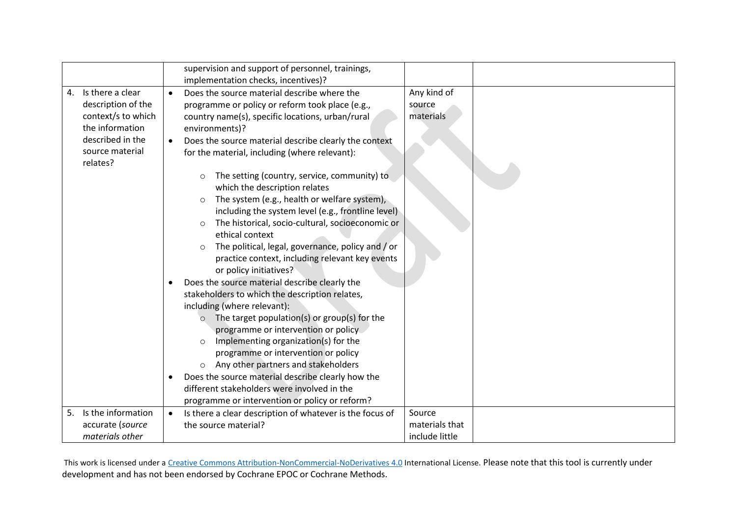|    |                                                                                                                                    |                        | supervision and support of personnel, trainings,<br>implementation checks, incentives)?                                                                                                                                                                                                                                                                                                                                                                                                                                                                                                                                                                                                                                                                                                                                                                                                                                                                                                                                                                                                                                        |                                            |  |
|----|------------------------------------------------------------------------------------------------------------------------------------|------------------------|--------------------------------------------------------------------------------------------------------------------------------------------------------------------------------------------------------------------------------------------------------------------------------------------------------------------------------------------------------------------------------------------------------------------------------------------------------------------------------------------------------------------------------------------------------------------------------------------------------------------------------------------------------------------------------------------------------------------------------------------------------------------------------------------------------------------------------------------------------------------------------------------------------------------------------------------------------------------------------------------------------------------------------------------------------------------------------------------------------------------------------|--------------------------------------------|--|
| 4. | Is there a clear<br>description of the<br>context/s to which<br>the information<br>described in the<br>source material<br>relates? | $\bullet$<br>$\bullet$ | Does the source material describe where the<br>programme or policy or reform took place (e.g.,<br>country name(s), specific locations, urban/rural<br>environments)?<br>Does the source material describe clearly the context<br>for the material, including (where relevant):<br>The setting (country, service, community) to<br>$\circ$<br>which the description relates<br>The system (e.g., health or welfare system),<br>$\circ$<br>including the system level (e.g., frontline level)<br>The historical, socio-cultural, socioeconomic or<br>$\circ$<br>ethical context<br>The political, legal, governance, policy and / or<br>practice context, including relevant key events<br>or policy initiatives?<br>Does the source material describe clearly the<br>stakeholders to which the description relates,<br>including (where relevant):<br>The target population(s) or group(s) for the<br>$\circ$<br>programme or intervention or policy<br>Implementing organization(s) for the<br>programme or intervention or policy<br>Any other partners and stakeholders<br>Does the source material describe clearly how the | Any kind of<br>source<br>materials         |  |
|    |                                                                                                                                    |                        | different stakeholders were involved in the<br>programme or intervention or policy or reform?                                                                                                                                                                                                                                                                                                                                                                                                                                                                                                                                                                                                                                                                                                                                                                                                                                                                                                                                                                                                                                  |                                            |  |
| 5. | Is the information<br>accurate (source<br>materials other                                                                          |                        | Is there a clear description of whatever is the focus of<br>the source material?                                                                                                                                                                                                                                                                                                                                                                                                                                                                                                                                                                                                                                                                                                                                                                                                                                                                                                                                                                                                                                               | Source<br>materials that<br>include little |  |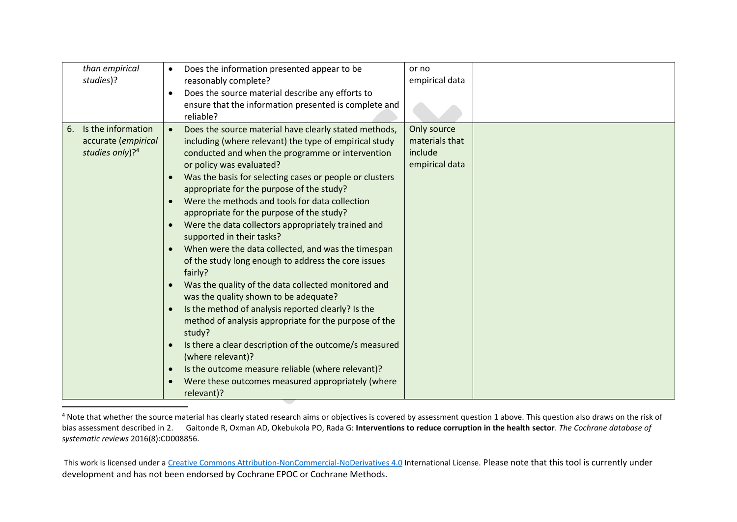| than empirical<br>studies)? | Does the information presented appear to be<br>$\bullet$<br>reasonably complete? | or no<br>empirical data |  |
|-----------------------------|----------------------------------------------------------------------------------|-------------------------|--|
|                             | Does the source material describe any efforts to<br>$\bullet$                    |                         |  |
|                             | ensure that the information presented is complete and<br>reliable?               |                         |  |
| Is the information<br>6.    | Does the source material have clearly stated methods,                            | Only source             |  |
| accurate (empirical         | including (where relevant) the type of empirical study                           | materials that          |  |
| studies only)? <sup>4</sup> | conducted and when the programme or intervention                                 | include                 |  |
|                             | or policy was evaluated?                                                         | empirical data          |  |
|                             | Was the basis for selecting cases or people or clusters<br>$\bullet$             |                         |  |
|                             | appropriate for the purpose of the study?                                        |                         |  |
|                             | Were the methods and tools for data collection                                   |                         |  |
|                             | appropriate for the purpose of the study?                                        |                         |  |
|                             | Were the data collectors appropriately trained and<br>$\bullet$                  |                         |  |
|                             | supported in their tasks?                                                        |                         |  |
|                             | When were the data collected, and was the timespan<br>$\bullet$                  |                         |  |
|                             | of the study long enough to address the core issues<br>fairly?                   |                         |  |
|                             | Was the quality of the data collected monitored and                              |                         |  |
|                             | was the quality shown to be adequate?                                            |                         |  |
|                             | Is the method of analysis reported clearly? Is the<br>$\bullet$                  |                         |  |
|                             | method of analysis appropriate for the purpose of the                            |                         |  |
|                             | study?                                                                           |                         |  |
|                             | Is there a clear description of the outcome/s measured<br>$\bullet$              |                         |  |
|                             | (where relevant)?                                                                |                         |  |
|                             | Is the outcome measure reliable (where relevant)?<br>$\bullet$                   |                         |  |
|                             | Were these outcomes measured appropriately (where<br>$\bullet$                   |                         |  |
|                             | relevant)?                                                                       |                         |  |

<sup>4</sup> Note that whether the source material has clearly stated research aims or objectives is covered by assessment question 1 above. This question also draws on the risk of bias assessment described in 2. Gaitonde R, Oxman AD, Okebukola PO, Rada G: **Interventions to reduce corruption in the health sector**. *The Cochrane database of systematic reviews* 2016(8):CD008856.

 $\overline{a}$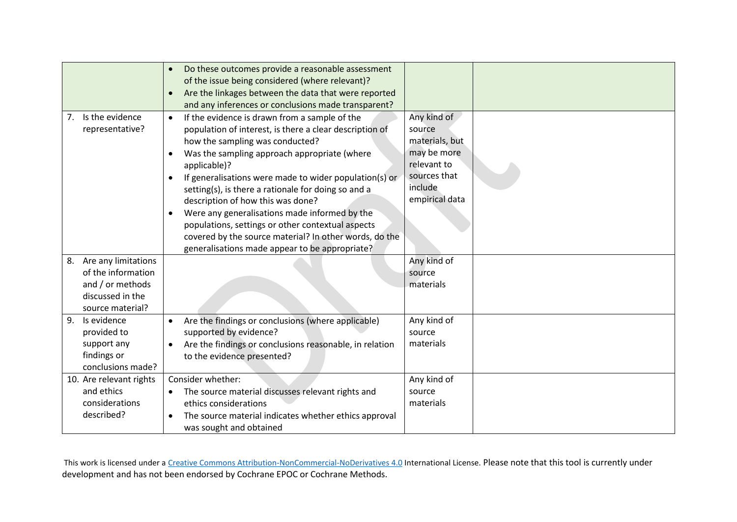|                                                                                                             | Do these outcomes provide a reasonable assessment<br>of the issue being considered (where relevant)?<br>Are the linkages between the data that were reported<br>$\bullet$<br>and any inferences or conclusions made transparent?                                                                                                                                                                                                                                                                                                                                                                                                |                                                                                                                    |  |
|-------------------------------------------------------------------------------------------------------------|---------------------------------------------------------------------------------------------------------------------------------------------------------------------------------------------------------------------------------------------------------------------------------------------------------------------------------------------------------------------------------------------------------------------------------------------------------------------------------------------------------------------------------------------------------------------------------------------------------------------------------|--------------------------------------------------------------------------------------------------------------------|--|
| Is the evidence<br>7.<br>representative?                                                                    | If the evidence is drawn from a sample of the<br>$\bullet$<br>population of interest, is there a clear description of<br>how the sampling was conducted?<br>Was the sampling approach appropriate (where<br>$\bullet$<br>applicable)?<br>If generalisations were made to wider population(s) or<br>$\bullet$<br>setting(s), is there a rationale for doing so and a<br>description of how this was done?<br>Were any generalisations made informed by the<br>٠<br>populations, settings or other contextual aspects<br>covered by the source material? In other words, do the<br>generalisations made appear to be appropriate? | Any kind of<br>source<br>materials, but<br>may be more<br>relevant to<br>sources that<br>include<br>empirical data |  |
| Are any limitations<br>8.<br>of the information<br>and / or methods<br>discussed in the<br>source material? |                                                                                                                                                                                                                                                                                                                                                                                                                                                                                                                                                                                                                                 | Any kind of<br>source<br>materials                                                                                 |  |
| 9.<br>Is evidence<br>provided to<br>support any<br>findings or<br>conclusions made?                         | Are the findings or conclusions (where applicable)<br>$\bullet$<br>supported by evidence?<br>Are the findings or conclusions reasonable, in relation<br>to the evidence presented?                                                                                                                                                                                                                                                                                                                                                                                                                                              | Any kind of<br>source<br>materials                                                                                 |  |
| 10. Are relevant rights<br>and ethics<br>considerations<br>described?                                       | Consider whether:<br>The source material discusses relevant rights and<br>$\bullet$<br>ethics considerations<br>The source material indicates whether ethics approval<br>٠<br>was sought and obtained                                                                                                                                                                                                                                                                                                                                                                                                                           | Any kind of<br>source<br>materials                                                                                 |  |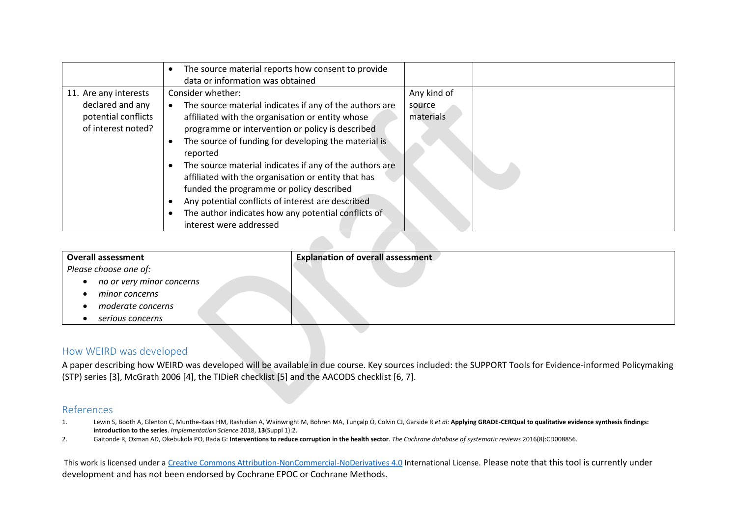|                                                                                        | The source material reports how consent to provide<br>data or information was obtained                                                                                                                                                                                                            |                                    |  |
|----------------------------------------------------------------------------------------|---------------------------------------------------------------------------------------------------------------------------------------------------------------------------------------------------------------------------------------------------------------------------------------------------|------------------------------------|--|
| 11. Are any interests<br>declared and any<br>potential conflicts<br>of interest noted? | Consider whether:<br>The source material indicates if any of the authors are<br>affiliated with the organisation or entity whose<br>programme or intervention or policy is described<br>The source of funding for developing the material is<br>reported                                          | Any kind of<br>source<br>materials |  |
|                                                                                        | The source material indicates if any of the authors are<br>affiliated with the organisation or entity that has<br>funded the programme or policy described<br>Any potential conflicts of interest are described<br>The author indicates how any potential conflicts of<br>interest were addressed |                                    |  |

| <b>Overall assessment</b> | <b>Explanation of overall assessment</b> |
|---------------------------|------------------------------------------|
| Please choose one of:     |                                          |
| no or very minor concerns |                                          |
| minor concerns            |                                          |
| moderate concerns         |                                          |
| serious concerns          |                                          |

#### How WEIRD was developed

A paper describing how WEIRD was developed will be available in due course. Key sources included: the SUPPORT Tools for Evidence-informed Policymaking (STP) series [3], McGrath 2006 [4], the TIDieR checklist [5] and the AACODS checklist [6, 7].

#### References

- 1. Lewin S, Booth A, Glenton C, Munthe-Kaas HM, Rashidian A, Wainwright M, Bohren MA, Tunçalp Ö, Colvin CJ, Garside R *et al*: **Applying GRADE-CERQual to qualitative evidence synthesis findings: introduction to the series**. *Implementation Science* 2018, **13**(Suppl 1):2.
- 2. Gaitonde R, Oxman AD, Okebukola PO, Rada G: **Interventions to reduce corruption in the health sector**. *The Cochrane database of systematic reviews* 2016(8):CD008856.